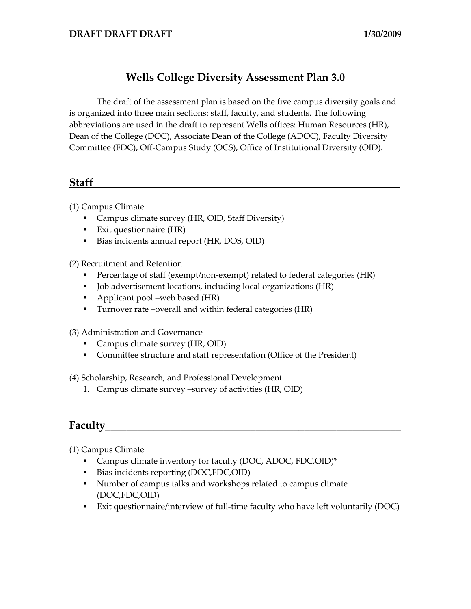### **Wells College Diversity Assessment Plan 3.0**

The draft of the assessment plan is based on the five campus diversity goals and is organized into three main sections: staff, faculty, and students. The following abbreviations are used in the draft to represent Wells offices: Human Resources (HR), Dean of the College (DOC), Associate Dean of the College (ADOC), Faculty Diversity Committee (FDC), Off-Campus Study (OCS), Office of Institutional Diversity (OID).

## **Staff\_\_\_\_\_\_\_\_\_\_\_\_\_\_\_\_\_\_\_\_\_\_\_\_\_\_\_\_\_\_\_\_\_\_\_\_\_\_\_\_\_\_\_\_\_\_\_\_\_\_\_\_\_\_\_\_\_**

(1) Campus Climate

- Campus climate survey (HR, OID, Staff Diversity)
- Exit questionnaire  $(HR)$
- Bias incidents annual report (HR, DOS, OID)

(2) Recruitment and Retention

- Percentage of staff (exempt/non-exempt) related to federal categories (HR)
- Job advertisement locations, including local organizations (HR)
- Applicant pool –web based (HR)
- Turnover rate –overall and within federal categories (HR)

(3) Administration and Governance

- Campus climate survey (HR, OID)
- Committee structure and staff representation (Office of the President)

(4) Scholarship, Research, and Professional Development

1. Campus climate survey –survey of activities (HR, OID)

# **Faculty\_\_\_\_\_\_\_\_\_\_\_\_\_\_\_\_\_\_\_\_\_\_\_\_\_\_\_\_\_\_\_\_\_\_\_\_\_\_\_\_\_\_\_\_\_\_\_\_\_\_\_\_\_\_\_**

(1) Campus Climate

- Campus climate inventory for faculty (DOC, ADOC, FDC, OID)\*
- Bias incidents reporting (DOC,FDC,OID)
- Number of campus talks and workshops related to campus climate (DOC,FDC,OID)
- Exit questionnaire/interview of full-time faculty who have left voluntarily (DOC)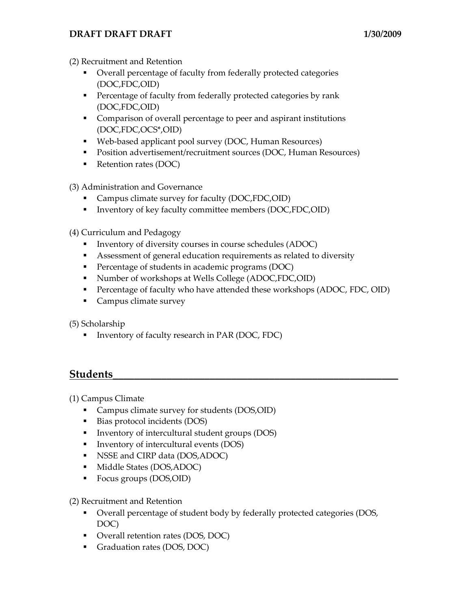### **DRAFT DRAFT DRAFT 1/30/2009**

(2) Recruitment and Retention

- Overall percentage of faculty from federally protected categories (DOC,FDC,OID)
- **Percentage of faculty from federally protected categories by rank** (DOC,FDC,OID)
- Comparison of overall percentage to peer and aspirant institutions (DOC,FDC,OCS\*,OID)
- Web-based applicant pool survey (DOC, Human Resources)
- Position advertisement/recruitment sources (DOC, Human Resources)
- Retention rates (DOC)
- (3) Administration and Governance
	- Campus climate survey for faculty (DOC,FDC,OID)
	- Inventory of key faculty committee members (DOC,FDC,OID)
- (4) Curriculum and Pedagogy
	- Inventory of diversity courses in course schedules (ADOC)
	- Assessment of general education requirements as related to diversity
	- **Percentage of students in academic programs (DOC)**
	- Number of workshops at Wells College (ADOC,FDC,OID)
	- Percentage of faculty who have attended these workshops (ADOC, FDC, OID)
	- **Campus climate survey**

(5) Scholarship

■ Inventory of faculty research in PAR (DOC, FDC)

### **Students\_\_\_\_\_\_\_\_\_\_\_\_\_\_\_\_\_\_\_\_\_\_\_\_\_\_\_\_\_\_\_\_\_\_\_\_\_\_\_\_\_\_\_\_\_\_\_\_\_\_\_\_\_**

(1) Campus Climate

- Campus climate survey for students (DOS,OID)
- Bias protocol incidents (DOS)
- **IDED** Inventory of intercultural student groups (DOS)
- Inventory of intercultural events (DOS)
- NSSE and CIRP data (DOS, ADOC)
- **Middle States (DOS, ADOC)**
- Focus groups (DOS,OID)
- (2) Recruitment and Retention
	- Overall percentage of student body by federally protected categories (DOS, DOC)
	- Overall retention rates (DOS, DOC)
	- Graduation rates (DOS, DOC)